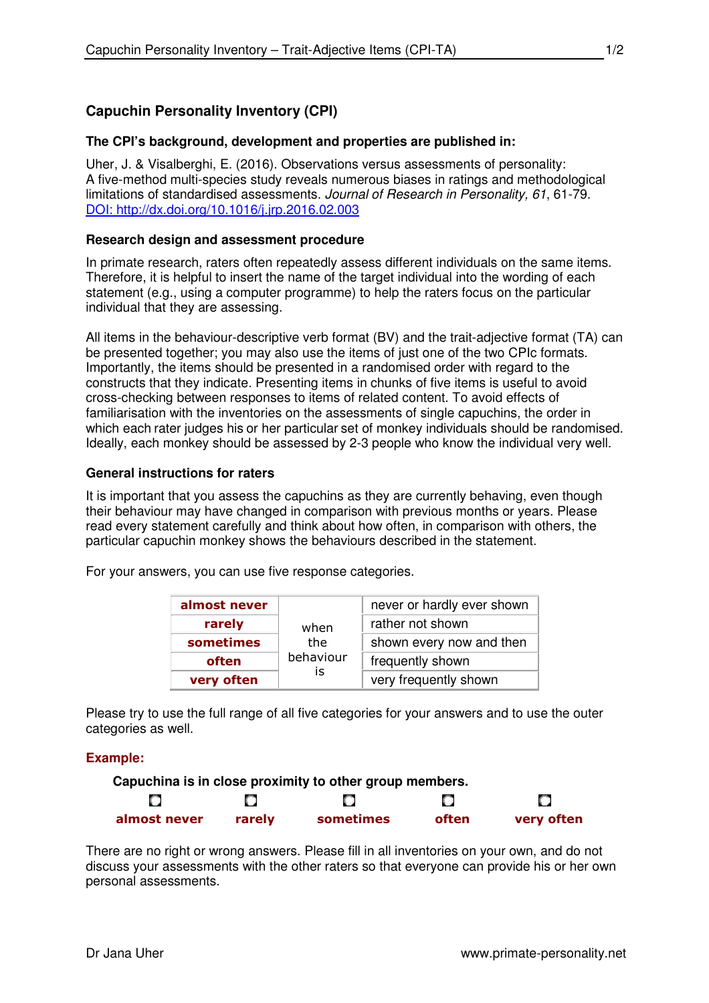# **The CPI's background, development and properties are published in:**

Uher, J. & Visalberghi, E. (2016). Observations versus assessments of personality: A five-method multi-species study reveals numerous biases in ratings and methodological limitations of standardised assessments. Journal of Research in Personality, 61, 61-79. DOI: http://dx.doi.org/10.1016/j.jrp.2016.02.003

## **Research design and assessment procedure**

In primate research, raters often repeatedly assess different individuals on the same items. Therefore, it is helpful to insert the name of the target individual into the wording of each statement (e.g., using a computer programme) to help the raters focus on the particular individual that they are assessing.

All items in the behaviour-descriptive verb format (BV) and the trait-adjective format (TA) can be presented together; you may also use the items of just one of the two CPIc formats. Importantly, the items should be presented in a randomised order with regard to the constructs that they indicate. Presenting items in chunks of five items is useful to avoid cross-checking between responses to items of related content. To avoid effects of familiarisation with the inventories on the assessments of single capuchins, the order in which each rater judges his or her particular set of monkey individuals should be randomised. Ideally, each monkey should be assessed by 2-3 people who know the individual very well.

## **General instructions for raters**

It is important that you assess the capuchins as they are currently behaving, even though their behaviour may have changed in comparison with previous months or years. Please read every statement carefully and think about how often, in comparison with others, the particular capuchin monkey shows the behaviours described in the statement.

For your answers, you can use five response categories.

| almost never |                                | never or hardly ever shown |  |  |
|--------------|--------------------------------|----------------------------|--|--|
| rarely       | when<br>the<br>behaviour<br>İS | rather not shown           |  |  |
| sometimes    |                                | shown every now and then   |  |  |
| often        |                                | frequently shown           |  |  |
| very often   |                                | very frequently shown      |  |  |

Please try to use the full range of all five categories for your answers and to use the outer categories as well.

# **Example:**



There are no right or wrong answers. Please fill in all inventories on your own, and do not discuss your assessments with the other raters so that everyone can provide his or her own personal assessments.